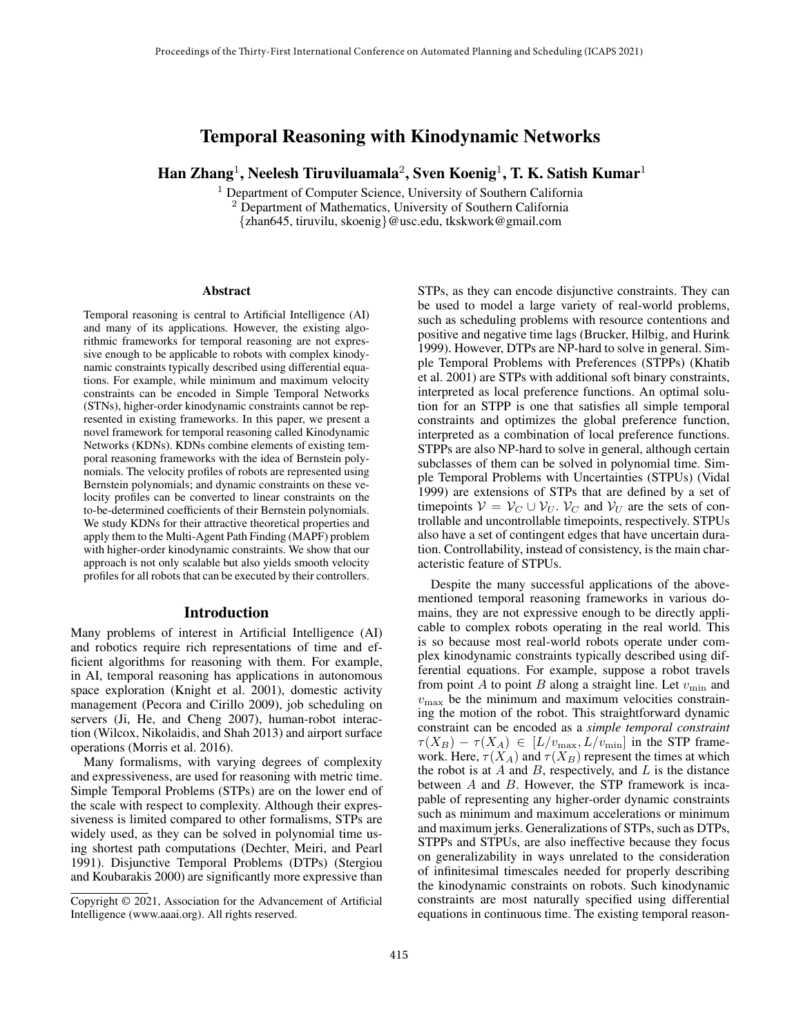# Temporal Reasoning with Kinodynamic Networks

Han Zhang<sup>1</sup>, Neelesh Tiruviluamala<sup>2</sup>, Sven Koenig<sup>1</sup>, T. K. Satish Kumar<sup>1</sup>

<sup>1</sup> Department of Computer Science, University of Southern California

<sup>2</sup> Department of Mathematics, University of Southern California {zhan645, tiruvilu, skoenig}@usc.edu, tkskwork@gmail.com

#### Abstract

Temporal reasoning is central to Artificial Intelligence (AI) and many of its applications. However, the existing algorithmic frameworks for temporal reasoning are not expressive enough to be applicable to robots with complex kinodynamic constraints typically described using differential equations. For example, while minimum and maximum velocity constraints can be encoded in Simple Temporal Networks (STNs), higher-order kinodynamic constraints cannot be represented in existing frameworks. In this paper, we present a novel framework for temporal reasoning called Kinodynamic Networks (KDNs). KDNs combine elements of existing temporal reasoning frameworks with the idea of Bernstein polynomials. The velocity profiles of robots are represented using Bernstein polynomials; and dynamic constraints on these velocity profiles can be converted to linear constraints on the to-be-determined coefficients of their Bernstein polynomials. We study KDNs for their attractive theoretical properties and apply them to the Multi-Agent Path Finding (MAPF) problem with higher-order kinodynamic constraints. We show that our approach is not only scalable but also yields smooth velocity profiles for all robots that can be executed by their controllers.

#### Introduction

Many problems of interest in Artificial Intelligence (AI) and robotics require rich representations of time and efficient algorithms for reasoning with them. For example, in AI, temporal reasoning has applications in autonomous space exploration (Knight et al. 2001), domestic activity management (Pecora and Cirillo 2009), job scheduling on servers (Ji, He, and Cheng 2007), human-robot interaction (Wilcox, Nikolaidis, and Shah 2013) and airport surface operations (Morris et al. 2016).

Many formalisms, with varying degrees of complexity and expressiveness, are used for reasoning with metric time. Simple Temporal Problems (STPs) are on the lower end of the scale with respect to complexity. Although their expressiveness is limited compared to other formalisms, STPs are widely used, as they can be solved in polynomial time using shortest path computations (Dechter, Meiri, and Pearl 1991). Disjunctive Temporal Problems (DTPs) (Stergiou and Koubarakis 2000) are significantly more expressive than

STPs, as they can encode disjunctive constraints. They can be used to model a large variety of real-world problems, such as scheduling problems with resource contentions and positive and negative time lags (Brucker, Hilbig, and Hurink 1999). However, DTPs are NP-hard to solve in general. Simple Temporal Problems with Preferences (STPPs) (Khatib et al. 2001) are STPs with additional soft binary constraints, interpreted as local preference functions. An optimal solution for an STPP is one that satisfies all simple temporal constraints and optimizes the global preference function, interpreted as a combination of local preference functions. STPPs are also NP-hard to solve in general, although certain subclasses of them can be solved in polynomial time. Simple Temporal Problems with Uncertainties (STPUs) (Vidal 1999) are extensions of STPs that are defined by a set of timepoints  $V = V_C \cup V_U$ .  $V_C$  and  $V_U$  are the sets of controllable and uncontrollable timepoints, respectively. STPUs also have a set of contingent edges that have uncertain duration. Controllability, instead of consistency, is the main characteristic feature of STPUs.

Despite the many successful applications of the abovementioned temporal reasoning frameworks in various domains, they are not expressive enough to be directly applicable to complex robots operating in the real world. This is so because most real-world robots operate under complex kinodynamic constraints typically described using differential equations. For example, suppose a robot travels from point A to point B along a straight line. Let  $v_{\min}$  and  $v_{\text{max}}$  be the minimum and maximum velocities constraining the motion of the robot. This straightforward dynamic constraint can be encoded as a *simple temporal constraint*  $\tau(X_B) - \tau(X_A) \in [L/v_{\text{max}}, L/v_{\text{min}}]$  in the STP framework. Here,  $\tau(X_A)$  and  $\tau(X_B)$  represent the times at which the robot is at  $A$  and  $B$ , respectively, and  $L$  is the distance between A and B. However, the STP framework is incapable of representing any higher-order dynamic constraints such as minimum and maximum accelerations or minimum and maximum jerks. Generalizations of STPs, such as DTPs, STPPs and STPUs, are also ineffective because they focus on generalizability in ways unrelated to the consideration of infinitesimal timescales needed for properly describing the kinodynamic constraints on robots. Such kinodynamic constraints are most naturally specified using differential equations in continuous time. The existing temporal reason-

Copyright © 2021, Association for the Advancement of Artificial Intelligence (www.aaai.org). All rights reserved.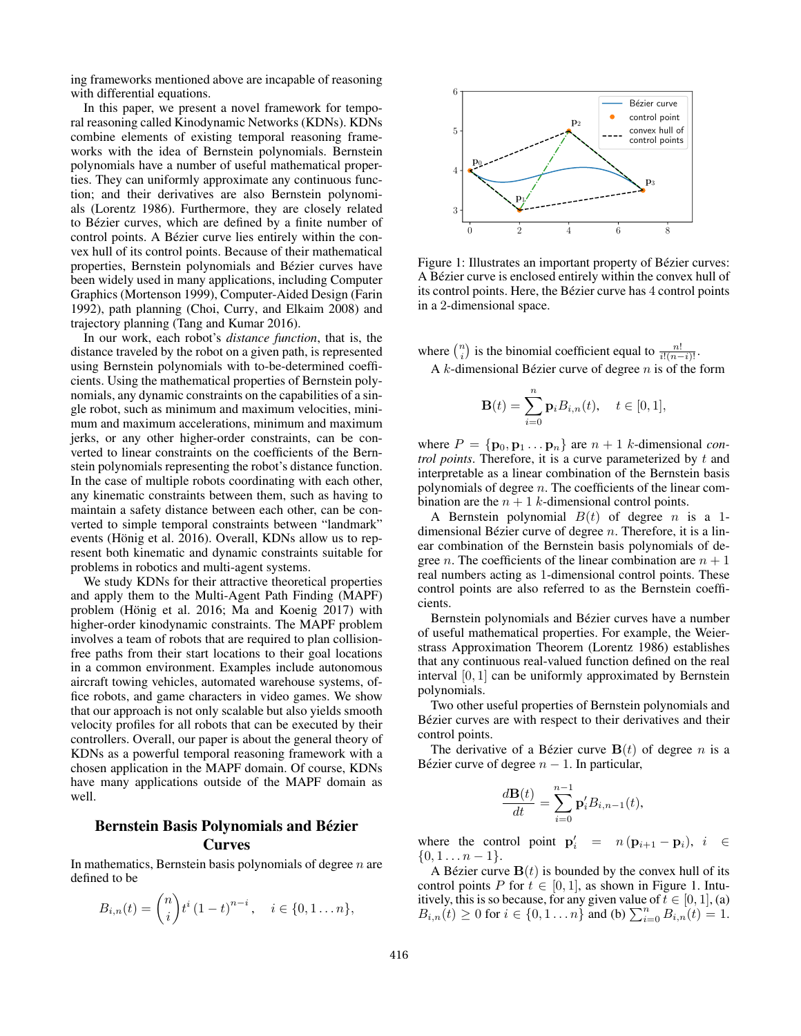ing frameworks mentioned above are incapable of reasoning with differential equations.

In this paper, we present a novel framework for temporal reasoning called Kinodynamic Networks (KDNs). KDNs combine elements of existing temporal reasoning frameworks with the idea of Bernstein polynomials. Bernstein polynomials have a number of useful mathematical properties. They can uniformly approximate any continuous function; and their derivatives are also Bernstein polynomials (Lorentz 1986). Furthermore, they are closely related to Bézier curves, which are defined by a finite number of control points. A Bézier curve lies entirely within the convex hull of its control points. Because of their mathematical properties, Bernstein polynomials and Bézier curves have been widely used in many applications, including Computer Graphics (Mortenson 1999), Computer-Aided Design (Farin 1992), path planning (Choi, Curry, and Elkaim 2008) and trajectory planning (Tang and Kumar 2016).

In our work, each robot's *distance function*, that is, the distance traveled by the robot on a given path, is represented using Bernstein polynomials with to-be-determined coefficients. Using the mathematical properties of Bernstein polynomials, any dynamic constraints on the capabilities of a single robot, such as minimum and maximum velocities, minimum and maximum accelerations, minimum and maximum jerks, or any other higher-order constraints, can be converted to linear constraints on the coefficients of the Bernstein polynomials representing the robot's distance function. In the case of multiple robots coordinating with each other, any kinematic constraints between them, such as having to maintain a safety distance between each other, can be converted to simple temporal constraints between "landmark" events (Hönig et al. 2016). Overall, KDNs allow us to represent both kinematic and dynamic constraints suitable for problems in robotics and multi-agent systems.

We study KDNs for their attractive theoretical properties and apply them to the Multi-Agent Path Finding (MAPF) problem (Hönig et al. 2016; Ma and Koenig 2017) with higher-order kinodynamic constraints. The MAPF problem involves a team of robots that are required to plan collisionfree paths from their start locations to their goal locations in a common environment. Examples include autonomous aircraft towing vehicles, automated warehouse systems, office robots, and game characters in video games. We show that our approach is not only scalable but also yields smooth velocity profiles for all robots that can be executed by their controllers. Overall, our paper is about the general theory of KDNs as a powerful temporal reasoning framework with a chosen application in the MAPF domain. Of course, KDNs have many applications outside of the MAPF domain as well.

# Bernstein Basis Polynomials and Bezier ´ Curves

In mathematics, Bernstein basis polynomials of degree  $n$  are defined to be

$$
B_{i,n}(t) = {n \choose i} t^{i} (1-t)^{n-i}, \quad i \in \{0,1...n\},\
$$



Figure 1: Illustrates an important property of Bézier curves: A Bézier curve is enclosed entirely within the convex hull of its control points. Here, the Bézier curve has 4 control points in a 2-dimensional space.

where  $\binom{n}{i}$  is the binomial coefficient equal to  $\frac{n!}{i!(n-i)!}$ .

A k-dimensional Bézier curve of degree  $n$  is of the form

$$
\mathbf{B}(t) = \sum_{i=0}^{n} \mathbf{p}_i B_{i,n}(t), \quad t \in [0,1],
$$

where  $P = \{p_0, p_1 \dots p_n\}$  are  $n + 1$  k-dimensional *control points*. Therefore, it is a curve parameterized by t and interpretable as a linear combination of the Bernstein basis polynomials of degree  $n$ . The coefficients of the linear combination are the  $n + 1$  k-dimensional control points.

A Bernstein polynomial  $B(t)$  of degree *n* is a 1dimensional Bézier curve of degree  $n$ . Therefore, it is a linear combination of the Bernstein basis polynomials of degree *n*. The coefficients of the linear combination are  $n + 1$ real numbers acting as 1-dimensional control points. These control points are also referred to as the Bernstein coefficients.

Bernstein polynomials and Bézier curves have a number of useful mathematical properties. For example, the Weierstrass Approximation Theorem (Lorentz 1986) establishes that any continuous real-valued function defined on the real interval [0, 1] can be uniformly approximated by Bernstein polynomials.

Two other useful properties of Bernstein polynomials and Bézier curves are with respect to their derivatives and their control points.

The derivative of a Bézier curve  $\mathbf{B}(t)$  of degree n is a Bézier curve of degree  $n - 1$ . In particular,

$$
\frac{d\mathbf{B}(t)}{dt} = \sum_{i=0}^{n-1} \mathbf{p}'_i B_{i,n-1}(t),
$$

where the control point  $\mathbf{p}'_i = n(\mathbf{p}_{i+1} - \mathbf{p}_i), i \in$  $\{0, 1 \ldots n-1\}.$ 

A Bézier curve  $\mathbf{B}(t)$  is bounded by the convex hull of its control points P for  $t \in [0, 1]$ , as shown in Figure 1. Intuitively, this is so because, for any given value of  $t \in [0, 1]$ , (a)  $B_{i,n}(t) \ge 0$  for  $i \in \{0, 1, \ldots n\}$  and (b)  $\sum_{i=0}^{n} B_{i,n}(t) = 1$ .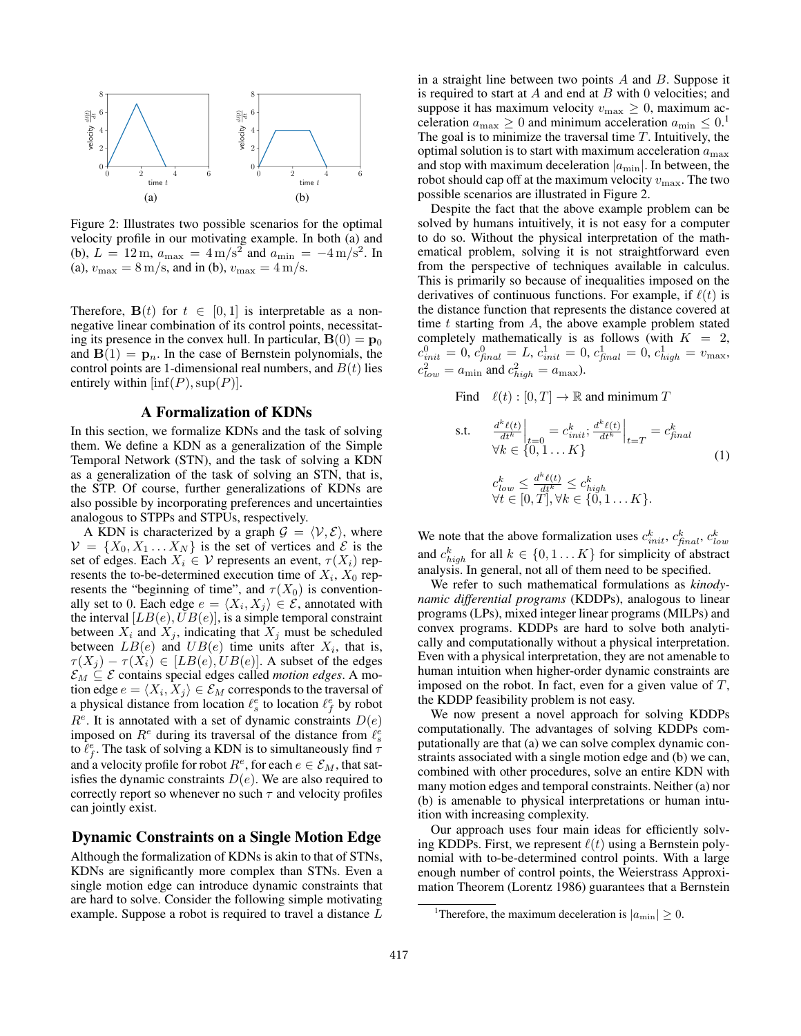

Figure 2: Illustrates two possible scenarios for the optimal velocity profile in our motivating example. In both (a) and (b),  $L = 12 \text{ m}$ ,  $a_{\text{max}} = 4 \text{ m/s}^2$  and  $a_{\text{min}} = -4 \text{ m/s}^2$ . In (a),  $v_{\text{max}} = 8 \text{ m/s}$ , and in (b),  $v_{\text{max}} = 4 \text{ m/s}$ .

Therefore,  $B(t)$  for  $t \in [0, 1]$  is interpretable as a nonnegative linear combination of its control points, necessitating its presence in the convex hull. In particular,  $\mathbf{B}(0) = \mathbf{p}_0$ and  $B(1) = p_n$ . In the case of Bernstein polynomials, the control points are 1-dimensional real numbers, and  $B(t)$  lies entirely within  $[\inf(P), \sup(P)]$ .

## A Formalization of KDNs

In this section, we formalize KDNs and the task of solving them. We define a KDN as a generalization of the Simple Temporal Network (STN), and the task of solving a KDN as a generalization of the task of solving an STN, that is, the STP. Of course, further generalizations of KDNs are also possible by incorporating preferences and uncertainties analogous to STPPs and STPUs, respectively.

A KDN is characterized by a graph  $\mathcal{G} = \langle \mathcal{V}, \mathcal{E} \rangle$ , where  $\mathcal{V} = \{X_0, X_1 \dots X_N\}$  is the set of vertices and  $\mathcal{E}$  is the set of edges. Each  $X_i \in \mathcal{V}$  represents an event,  $\tau(X_i)$  represents the to-be-determined execution time of  $X_i$ ,  $X_0$  represents the "beginning of time", and  $\tau(X_0)$  is conventionally set to 0. Each edge  $e = \langle X_i, X_j \rangle \in \mathcal{E}$ , annotated with the interval  $[LB(e),UB(e)],$  is a simple temporal constraint between  $X_i$  and  $X_j$ , indicating that  $X_j$  must be scheduled between  $LB(e)$  and  $UB(e)$  time units after  $X_i$ , that is,  $\tau(X_j) - \tau(X_i) \in [LB(e), UB(e)].$  A subset of the edges  $\mathcal{E}_M \subseteq \mathcal{E}$  contains special edges called *motion edges*. A motion edge  $e = \langle X_i, X_j \rangle \in \mathcal{E}_M$  corresponds to the traversal of a physical distance from location  $\ell_s^e$  to location  $\ell_f^e$  by robot  $R<sup>e</sup>$ . It is annotated with a set of dynamic constraints  $D(e)$ imposed on  $R^e$  during its traversal of the distance from  $\ell_s^e$ to  $\hat{\ell}_f^e$ . The task of solving a KDN is to simultaneously find  $\tau$ and a velocity profile for robot  $R^e$ , for each  $e \in \mathcal{E}_M$ , that satisfies the dynamic constraints  $D(e)$ . We are also required to correctly report so whenever no such  $\tau$  and velocity profiles can jointly exist.

## Dynamic Constraints on a Single Motion Edge

Although the formalization of KDNs is akin to that of STNs, KDNs are significantly more complex than STNs. Even a single motion edge can introduce dynamic constraints that are hard to solve. Consider the following simple motivating example. Suppose a robot is required to travel a distance L

in a straight line between two points  $A$  and  $B$ . Suppose it is required to start at  $A$  and end at  $B$  with 0 velocities; and suppose it has maximum velocity  $v_{\text{max}} \geq 0$ , maximum acceleration  $a_{\text{max}} \ge 0$  and minimum acceleration  $a_{\text{min}} \le 0$ .<sup>1</sup> The goal is to minimize the traversal time  $T$ . Intuitively, the optimal solution is to start with maximum acceleration  $a_{\text{max}}$ and stop with maximum deceleration  $|a_{\min}|$ . In between, the robot should cap off at the maximum velocity  $v_{\text{max}}$ . The two possible scenarios are illustrated in Figure 2.

Despite the fact that the above example problem can be solved by humans intuitively, it is not easy for a computer to do so. Without the physical interpretation of the mathematical problem, solving it is not straightforward even from the perspective of techniques available in calculus. This is primarily so because of inequalities imposed on the derivatives of continuous functions. For example, if  $\ell(t)$  is the distance function that represents the distance covered at time  $t$  starting from  $A$ , the above example problem stated completely mathematically is as follows (with  $K = 2$ ,  $c_{init}^0 = 0, c_{\mathit{final}}^0 = L, c_{init}^1 = 0, c_{\mathit{final}}^1 = 0, c_{\mathit{high}}^1 = v_{\max},$  $c_{low}^2 = a_{\min}$  and  $c_{high}^2 = a_{\max}$ ).

Find  $\ell(t) : [0, T] \to \mathbb{R}$  and minimum T

s.t. 
$$
\frac{d^k \ell(t)}{dt^k}\Big|_{t=0} = c_{init}^k; \frac{d^k \ell(t)}{dt^k}\Big|_{t=T} = c_{final}^k
$$
  
\n
$$
\forall k \in \{0, 1...K\}
$$
  
\n
$$
c_{low}^k \le \frac{d^k \ell(t)}{dt^k} \le c_{high}^k
$$
  
\n
$$
\forall t \in [0, T], \forall k \in \{0, 1...K\}.
$$
  
\n(1)

We note that the above formalization uses  $c_{init}^k$ ,  $c_{final}^k$ ,  $c_{low}^k$ and  $c_{high}^k$  for all  $k \in \{0, 1...K\}$  for simplicity of abstract analysis. In general, not all of them need to be specified.

We refer to such mathematical formulations as *kinodynamic differential programs* (KDDPs), analogous to linear programs (LPs), mixed integer linear programs (MILPs) and convex programs. KDDPs are hard to solve both analytically and computationally without a physical interpretation. Even with a physical interpretation, they are not amenable to human intuition when higher-order dynamic constraints are imposed on the robot. In fact, even for a given value of  $T$ , the KDDP feasibility problem is not easy.

We now present a novel approach for solving KDDPs computationally. The advantages of solving KDDPs computationally are that (a) we can solve complex dynamic constraints associated with a single motion edge and (b) we can, combined with other procedures, solve an entire KDN with many motion edges and temporal constraints. Neither (a) nor (b) is amenable to physical interpretations or human intuition with increasing complexity.

Our approach uses four main ideas for efficiently solving KDDPs. First, we represent  $\ell(t)$  using a Bernstein polynomial with to-be-determined control points. With a large enough number of control points, the Weierstrass Approximation Theorem (Lorentz 1986) guarantees that a Bernstein

<sup>&</sup>lt;sup>1</sup>Therefore, the maximum deceleration is  $|a_{\min}| \geq 0$ .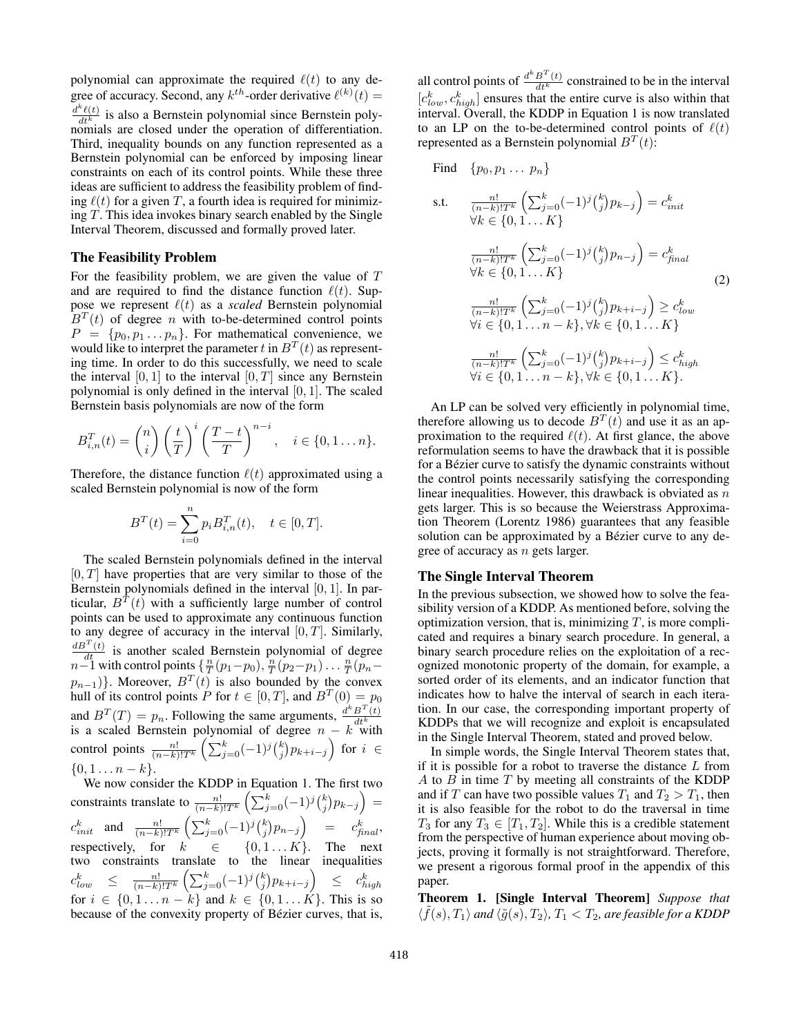polynomial can approximate the required  $\ell(t)$  to any degree of accuracy. Second, any  $k^{th}$ -order derivative  $\ell^{(k)}(t) =$  $\frac{d^k \ell(t)}{dt^k}$  is also a Bernstein polynomial since Bernstein polynomials are closed under the operation of differentiation. Third, inequality bounds on any function represented as a Bernstein polynomial can be enforced by imposing linear constraints on each of its control points. While these three ideas are sufficient to address the feasibility problem of finding  $\ell(t)$  for a given T, a fourth idea is required for minimizing T. This idea invokes binary search enabled by the Single Interval Theorem, discussed and formally proved later.

## The Feasibility Problem

For the feasibility problem, we are given the value of  $T$ and are required to find the distance function  $\ell(t)$ . Suppose we represent  $\ell(t)$  as a *scaled* Bernstein polynomial  $B<sup>T</sup>(t)$  of degree *n* with to-be-determined control points  $P = \{p_0, p_1 \dots p_n\}$ . For mathematical convenience, we would like to interpret the parameter t in  $B<sup>T</sup>(t)$  as representing time. In order to do this successfully, we need to scale the interval  $[0, 1]$  to the interval  $[0, T]$  since any Bernstein polynomial is only defined in the interval  $[0, 1]$ . The scaled Bernstein basis polynomials are now of the form

$$
B_{i,n}^T(t) = {n \choose i} \left(\frac{t}{T}\right)^i \left(\frac{T-t}{T}\right)^{n-i}, \quad i \in \{0,1\dots n\}.
$$

Therefore, the distance function  $\ell(t)$  approximated using a scaled Bernstein polynomial is now of the form

$$
B^{T}(t) = \sum_{i=0}^{n} p_{i} B_{i,n}^{T}(t), \quad t \in [0, T].
$$

The scaled Bernstein polynomials defined in the interval  $[0, T]$  have properties that are very similar to those of the Bernstein polynomials defined in the interval  $[0, 1]$ . In particular,  $B<sup>T</sup>(t)$  with a sufficiently large number of control points can be used to approximate any continuous function to any degree of accuracy in the interval  $[0, T]$ . Similarly,  $\frac{dB^{T}(t)}{dt}$  is another scaled Bernstein polynomial of degree  $n-1$  with control points  $\{\frac{n}{T}(p_1-p_0), \frac{n}{T}(p_2-p_1) \dots \frac{n}{T}(p_n-p_n)\}$  $p_{n-1}$ }. Moreover,  $B<sup>T</sup>(t)$  is also bounded by the convex hull of its control points P for  $t \in [0, T]$ , and  $B<sup>T</sup>(0) = p_0$ and  $B^T(T) = p_n$ . Following the same arguments,  $\frac{d^k B^T(t)}{dt^k}$ and  $D'(T) = p_n$ . Following the same arguments,  $\frac{dt^k}{dt^k}$ <br>is a scaled Bernstein polynomial of degree  $n - k$  with control points  $\frac{n!}{(n-k)!T^k} \left( \sum_{j=0}^k (-1)^j \binom{k}{j} p_{k+i-j} \right)$  for  $i \in$  $\{0, 1 \ldots n - k\}.$ 

We now consider the KDDP in Equation 1. The first two constraints translate to  $\frac{n!}{(n-k)!T^k} \left( \sum_{j=0}^k (-1)^j {k \choose j} p_{k-j} \right) =$  $c_{init}^k$  and  $\frac{n!}{(n-k)!T^k} \left( \sum_{j=0}^k (-1)^j {k \choose j} p_{n-j} \right)$  =  $c_{final}^k$ , respectively, for  $k \in \{0, 1...K\}$ . The next two constraints translate to the linear inequalities  $c^k_{low} \quad \leq \quad \frac{n!}{(n-k)!T^k} \left( \sum_{j=0}^k (-1)^j \binom{k}{j} p_{k+i-j} \right) \quad \leq \quad c^k_{high}$ for  $i \in \{0, 1, \ldots n - k\}$  and  $k \in \{0, 1, \ldots K\}$ . This is so because of the convexity property of Bézier curves, that is,

all control points of  $\frac{d^k B^T(t)}{dt^k}$  constrained to be in the interval  $[c_{low}^k, c_{high}^k]$  ensures that the entire curve is also within that interval. Overall, the KDDP in Equation 1 is now translated to an LP on the to-be-determined control points of  $\ell(t)$ represented as a Bernstein polynomial  $B<sup>T</sup>(t)$ :

Find 
$$
\{p_0, p_1 ... p_n\}
$$
  
\ns.t.  $\frac{n!}{(n-k)!T^k} \left( \sum_{j=0}^k (-1)^j {k \choose j} p_{k-j} \right) = c_{init}^k$   
\n $\forall k \in \{0, 1 ... K\}$   
\n $\frac{n!}{(n-k)!T^k} \left( \sum_{j=0}^k (-1)^j {k \choose j} p_{n-j} \right) = c_{final}^k$   
\n $\forall k \in \{0, 1 ... K\}$   
\n $\frac{n!}{(n-k)!T^k} \left( \sum_{j=0}^k (-1)^j {k \choose j} p_{k+i-j} \right) \ge c_{low}^k$   
\n $\forall i \in \{0, 1 ... n - k\}, \forall k \in \{0, 1 ... K\}$   
\n $\frac{n!}{(n-k)!T^k} \left( \sum_{j=0}^k (-1)^j {k \choose j} p_{k+i-j} \right) \le c_{high}^k$   
\n $\forall i \in \{0, 1 ... n - k\}, \forall k \in \{0, 1 ... K\}.$ 

An LP can be solved very efficiently in polynomial time, therefore allowing us to decode  $B<sup>T</sup>(t)$  and use it as an approximation to the required  $\ell(t)$ . At first glance, the above reformulation seems to have the drawback that it is possible for a Bézier curve to satisfy the dynamic constraints without the control points necessarily satisfying the corresponding linear inequalities. However, this drawback is obviated as  $n$ gets larger. This is so because the Weierstrass Approximation Theorem (Lorentz 1986) guarantees that any feasible solution can be approximated by a Bézier curve to any degree of accuracy as n gets larger.

## The Single Interval Theorem

In the previous subsection, we showed how to solve the feasibility version of a KDDP. As mentioned before, solving the optimization version, that is, minimizing  $T$ , is more complicated and requires a binary search procedure. In general, a binary search procedure relies on the exploitation of a recognized monotonic property of the domain, for example, a sorted order of its elements, and an indicator function that indicates how to halve the interval of search in each iteration. In our case, the corresponding important property of KDDPs that we will recognize and exploit is encapsulated in the Single Interval Theorem, stated and proved below.

In simple words, the Single Interval Theorem states that, if it is possible for a robot to traverse the distance  $L$  from A to  $B$  in time  $T$  by meeting all constraints of the KDDP and if T can have two possible values  $T_1$  and  $T_2 > T_1$ , then it is also feasible for the robot to do the traversal in time  $T_3$  for any  $T_3 \in [T_1, T_2]$ . While this is a credible statement from the perspective of human experience about moving objects, proving it formally is not straightforward. Therefore, we present a rigorous formal proof in the appendix of this paper.

Theorem 1. [Single Interval Theorem] *Suppose that*  $\langle \tilde{f}(s), T_1 \rangle$  and  $\langle \tilde{g}(s), T_2 \rangle$ ,  $T_1 < T_2$ , are feasible for a KDDP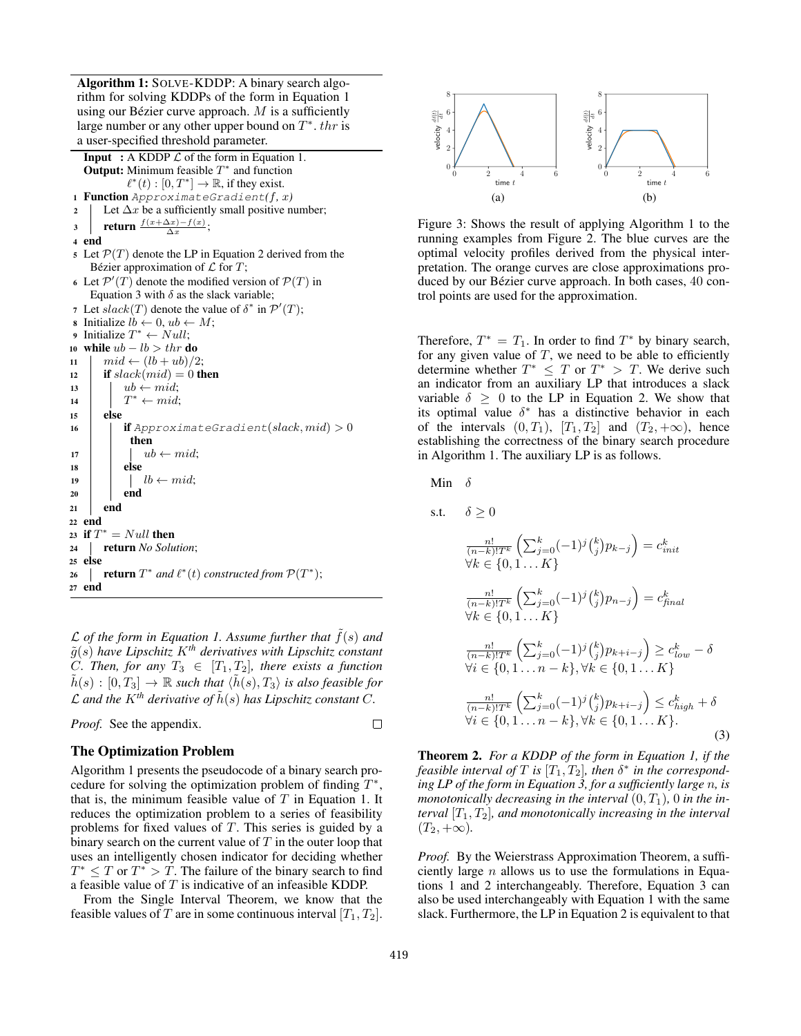Algorithm 1: SOLVE-KDDP: A binary search algorithm for solving KDDPs of the form in Equation 1 using our Bézier curve approach.  $M$  is a sufficiently large number or any other upper bound on  $T^*$ . then a user-specified threshold parameter.

**Input** : A KDDP  $\mathcal L$  of the form in Equation 1. **Output:** Minimum feasible  $T^*$  and function  $\ell^*(t) : [0, T^*] \to \mathbb{R}$ , if they exist. <sup>1</sup> Function ApproximateGradient*(*f*,* x*)* 2 Let  $\Delta x$  be a sufficiently small positive number; 3 return  $\frac{f(x+\Delta x)-f(x)}{\Delta x}$ ; <sup>4</sup> end 5 Let  $\mathcal{P}(T)$  denote the LP in Equation 2 derived from the Bézier approximation of  $\mathcal L$  for  $T$ ; 6 Let  $\mathcal{P}'(T)$  denote the modified version of  $\mathcal{P}(T)$  in Equation 3 with  $\delta$  as the slack variable; 7 Let  $slack(T)$  denote the value of  $\delta^*$  in  $\mathcal{P}'(T)$ ; **8** Initialize  $lb \leftarrow 0, ub \leftarrow M$ ; 9 Initialize  $T^* \leftarrow Null;$ 10 while  $ub - lb > thr$  do  $11 \quad | \quad mid \leftarrow (lb + ub)/2;$ 12 if  $slack(mid) = 0$  then 13  $\vert$   $ub \leftarrow mid;$ 14  $T^* \leftarrow mid;$ <sup>15</sup> else 16 **if** ApproximateGradient(slack, mid)  $> 0$ then 17 |  $ub \leftarrow mid;$ 18 else 19  $\vert \vert \vert$   $\vert b \leftarrow mid;$  $20$  end <sup>21</sup> end <sup>22</sup> end 23 if  $T^* = Null$  then <sup>24</sup> return *No Solution*; <sup>25</sup> else **26 example 1 return**  $T^*$  *and*  $\ell^*(t)$  *constructed from*  $\mathcal{P}(T^*)$ ; <sup>27</sup> end

 $\mathcal L$  *of the form in Equation 1. Assume further that*  $f(s)$  *and*  $\tilde{g}(s)$  *have Lipschitz*  $K^{th}$  *derivatives with Lipschitz constant C. Then, for any*  $T_3 \in [T_1, T_2]$ *, there exists a function*  $\tilde{h}(s) : [0, T_3] \to \mathbb{R}$  *such that*  $\langle \tilde{h}(s), T_3 \rangle$  *is also feasible for*  $\mathcal L$  and the  $K^{th}$  derivative of  $\tilde h(s)$  has Lipschitz constant C.

*Proof.* See the appendix.

#### $\Box$

## The Optimization Problem

Algorithm 1 presents the pseudocode of a binary search procedure for solving the optimization problem of finding  $T^*$ , that is, the minimum feasible value of  $T$  in Equation 1. It reduces the optimization problem to a series of feasibility problems for fixed values of T. This series is guided by a binary search on the current value of  $T$  in the outer loop that uses an intelligently chosen indicator for deciding whether  $T^* \leq T$  or  $T^* > T$ . The failure of the binary search to find a feasible value of  $T$  is indicative of an infeasible KDDP.

From the Single Interval Theorem, we know that the feasible values of T are in some continuous interval  $[T_1, T_2]$ .



Figure 3: Shows the result of applying Algorithm 1 to the running examples from Figure 2. The blue curves are the optimal velocity profiles derived from the physical interpretation. The orange curves are close approximations produced by our Bézier curve approach. In both cases, 40 control points are used for the approximation.

Therefore,  $T^* = T_1$ . In order to find  $T^*$  by binary search, for any given value of  $T$ , we need to be able to efficiently determine whether  $T^* \leq T$  or  $T^* > T$ . We derive such an indicator from an auxiliary LP that introduces a slack variable  $\delta \geq 0$  to the LP in Equation 2. We show that its optimal value  $\delta^*$  has a distinctive behavior in each of the intervals  $(0, T_1)$ ,  $[T_1, T_2]$  and  $(T_2, +\infty)$ , hence establishing the correctness of the binary search procedure in Algorithm 1. The auxiliary LP is as follows.

Min  $\delta$ 

 $s.t.$ 

$$
\delta \geq 0
$$
\n
$$
\frac{n!}{(n-k)!T^{k}} \left( \sum_{j=0}^{k} (-1)^{j} {k \choose j} p_{k-j} \right) = c_{init}^{k}
$$
\n
$$
\forall k \in \{0, 1...K\}
$$
\n
$$
\frac{n!}{(n-k)!T^{k}} \left( \sum_{j=0}^{k} (-1)^{j} {k \choose j} p_{n-j} \right) = c_{final}^{k}
$$
\n
$$
\forall k \in \{0, 1...K\}
$$
\n
$$
\frac{n!}{(n-k)!T^{k}} \left( \sum_{j=0}^{k} (-1)^{j} {k \choose j} p_{k+i-j} \right) \geq c_{low}^{k} - \delta
$$
\n
$$
\forall i \in \{0, 1...n-k\}, \forall k \in \{0, 1...K\}
$$
\n
$$
\frac{n!}{(n-k)!T^{k}} \left( \sum_{j=0}^{k} (-1)^{j} {k \choose j} p_{k+i-j} \right) \leq c_{high}^{k} + \delta
$$
\n
$$
\forall i \in \{0, 1...n-k\}, \forall k \in \{0, 1...K\}.
$$
\n(3)

Theorem 2. *For a KDDP of the form in Equation 1, if the feasible interval of*  $T$  *is*  $[T_1, T_2]$ *, then*  $\delta^*$  *in the corresponding LP of the form in Equation 3, for a sufficiently large* n*, is monotonically decreasing in the interval*  $(0, T_1)$ , 0 *in the interval*  $[T_1, T_2]$ *, and monotonically increasing in the interval*  $(T_2, +\infty)$ .

*Proof.* By the Weierstrass Approximation Theorem, a sufficiently large  $n$  allows us to use the formulations in Equations 1 and 2 interchangeably. Therefore, Equation 3 can also be used interchangeably with Equation 1 with the same slack. Furthermore, the LP in Equation 2 is equivalent to that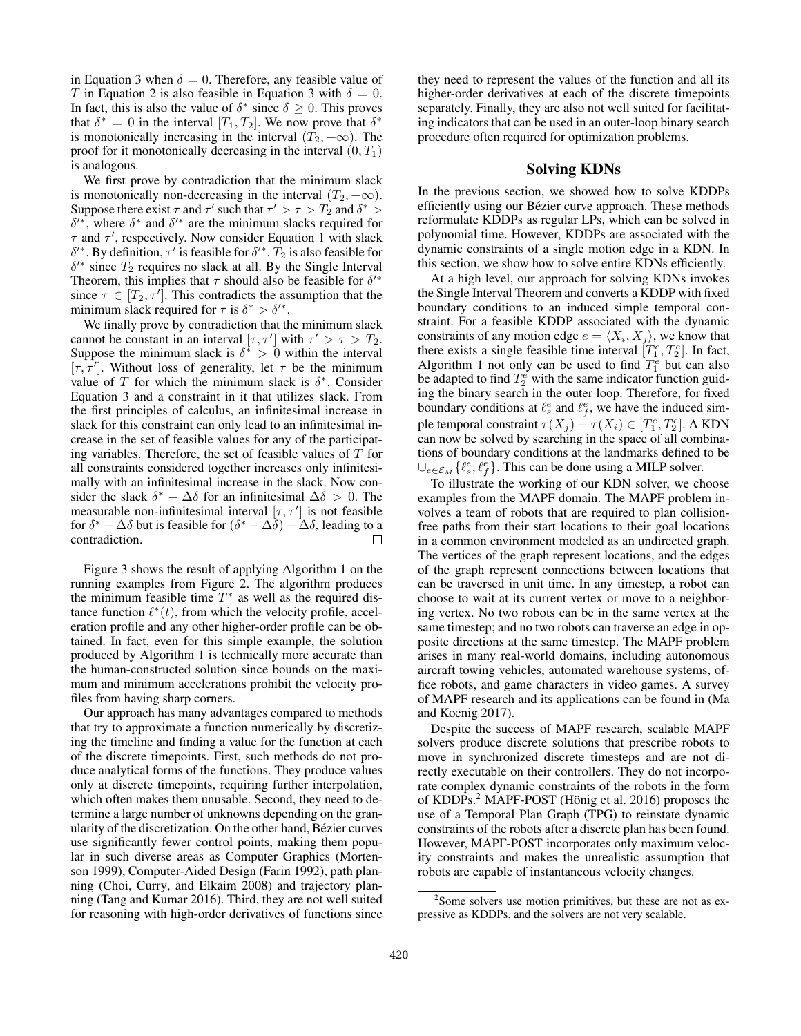in Equation 3 when  $\delta = 0$ . Therefore, any feasible value of T in Equation 2 is also feasible in Equation 3 with  $\delta = 0$ . In fact, this is also the value of  $\delta^*$  since  $\delta \geq 0$ . This proves that  $\delta^* = 0$  in the interval  $[T_1, T_2]$ . We now prove that  $\delta^*$ is monotonically increasing in the interval  $(T_2, +\infty)$ . The proof for it monotonically decreasing in the interval  $(0, T_1)$ is analogous.

We first prove by contradiction that the minimum slack is monotonically non-decreasing in the interval  $(T_2, +\infty)$ . Suppose there exist  $\tau$  and  $\tau'$  such that  $\tau' > \tau > T_2$  and  $\delta^* >$  $\delta^{i*}$ , where  $\delta^*$  and  $\delta^{i*}$  are the minimum slacks required for  $\tau$  and  $\tau'$ , respectively. Now consider Equation 1 with slack  $\delta^{\prime*}$ . By definition,  $\tau^{\prime}$  is feasible for  $\delta^{\prime*}$ .  $\hat{T}_2$  is also feasible for  $\delta^{\prime*}$  since  $T_2$  requires no slack at all. By the Single Interval Theorem, this implies that  $\tau$  should also be feasible for  $\delta'^*$ since  $\tau \in [T_2, \tau']$ . This contradicts the assumption that the minimum slack required for  $\tau$  is  $\delta^* > \delta'^*$ .

We finally prove by contradiction that the minimum slack cannot be constant in an interval  $[\tau, \tau']$  with  $\tau' > \tau > T_2$ . Suppose the minimum slack is  $\delta^* > 0$  within the interval  $[\tau, \tau']$ . Without loss of generality, let  $\tau$  be the minimum value of T for which the minimum slack is  $\delta^*$ . Consider Equation 3 and a constraint in it that utilizes slack. From the first principles of calculus, an infinitesimal increase in slack for this constraint can only lead to an infinitesimal increase in the set of feasible values for any of the participating variables. Therefore, the set of feasible values of  $T$  for all constraints considered together increases only infinitesimally with an infinitesimal increase in the slack. Now consider the slack  $\delta^* - \Delta \delta$  for an infinitesimal  $\Delta \delta > 0$ . The measurable non-infinitesimal interval  $[\tau, \tau']$  is not feasible for  $\delta^* - \Delta \delta$  but is feasible for  $(\delta^* - \Delta \delta) + \Delta \delta$ , leading to a contradiction.  $\Box$ 

Figure 3 shows the result of applying Algorithm 1 on the running examples from Figure 2. The algorithm produces the minimum feasible time  $T^*$  as well as the required distance function  $\ell^*(t)$ , from which the velocity profile, acceleration profile and any other higher-order profile can be obtained. In fact, even for this simple example, the solution produced by Algorithm 1 is technically more accurate than the human-constructed solution since bounds on the maximum and minimum accelerations prohibit the velocity profiles from having sharp corners.

Our approach has many advantages compared to methods that try to approximate a function numerically by discretizing the timeline and finding a value for the function at each of the discrete timepoints. First, such methods do not produce analytical forms of the functions. They produce values only at discrete timepoints, requiring further interpolation, which often makes them unusable. Second, they need to determine a large number of unknowns depending on the granularity of the discretization. On the other hand, Bézier curves use significantly fewer control points, making them popular in such diverse areas as Computer Graphics (Mortenson 1999), Computer-Aided Design (Farin 1992), path planning (Choi, Curry, and Elkaim 2008) and trajectory planning (Tang and Kumar 2016). Third, they are not well suited for reasoning with high-order derivatives of functions since

they need to represent the values of the function and all its higher-order derivatives at each of the discrete timepoints separately. Finally, they are also not well suited for facilitating indicators that can be used in an outer-loop binary search procedure often required for optimization problems.

## Solving KDNs

In the previous section, we showed how to solve KDDPs efficiently using our Bézier curve approach. These methods reformulate KDDPs as regular LPs, which can be solved in polynomial time. However, KDDPs are associated with the dynamic constraints of a single motion edge in a KDN. In this section, we show how to solve entire KDNs efficiently.

At a high level, our approach for solving KDNs invokes the Single Interval Theorem and converts a KDDP with fixed boundary conditions to an induced simple temporal constraint. For a feasible KDDP associated with the dynamic constraints of any motion edge  $e = \langle X_i, X_j \rangle$ , we know that there exists a single feasible time interval  $[T_1^e, T_2^e]$ . In fact, Algorithm 1 not only can be used to find  $T_1^e$  but can also be adapted to find  $T_2^e$  with the same indicator function guiding the binary search in the outer loop. Therefore, for fixed boundary conditions at  $\ell_s^e$  and  $\ell_f^e$ , we have the induced simple temporal constraint  $\tau(X_j) - \tau(X_i) \in [T_1^e, T_2^e]$ . A KDN can now be solved by searching in the space of all combinations of boundary conditions at the landmarks defined to be  $\cup_{e \in \mathcal{E}_M} \{ \ell_s^e, \ell_f^e \}.$  This can be done using a MILP solver.

To illustrate the working of our KDN solver, we choose examples from the MAPF domain. The MAPF problem involves a team of robots that are required to plan collisionfree paths from their start locations to their goal locations in a common environment modeled as an undirected graph. The vertices of the graph represent locations, and the edges of the graph represent connections between locations that can be traversed in unit time. In any timestep, a robot can choose to wait at its current vertex or move to a neighboring vertex. No two robots can be in the same vertex at the same timestep; and no two robots can traverse an edge in opposite directions at the same timestep. The MAPF problem arises in many real-world domains, including autonomous aircraft towing vehicles, automated warehouse systems, office robots, and game characters in video games. A survey of MAPF research and its applications can be found in (Ma and Koenig 2017).

Despite the success of MAPF research, scalable MAPF solvers produce discrete solutions that prescribe robots to move in synchronized discrete timesteps and are not directly executable on their controllers. They do not incorporate complex dynamic constraints of the robots in the form of KDDPs. $<sup>2</sup>$  MAPF-POST (Hönig et al. 2016) proposes the</sup> use of a Temporal Plan Graph (TPG) to reinstate dynamic constraints of the robots after a discrete plan has been found. However, MAPF-POST incorporates only maximum velocity constraints and makes the unrealistic assumption that robots are capable of instantaneous velocity changes.

<sup>&</sup>lt;sup>2</sup>Some solvers use motion primitives, but these are not as expressive as KDDPs, and the solvers are not very scalable.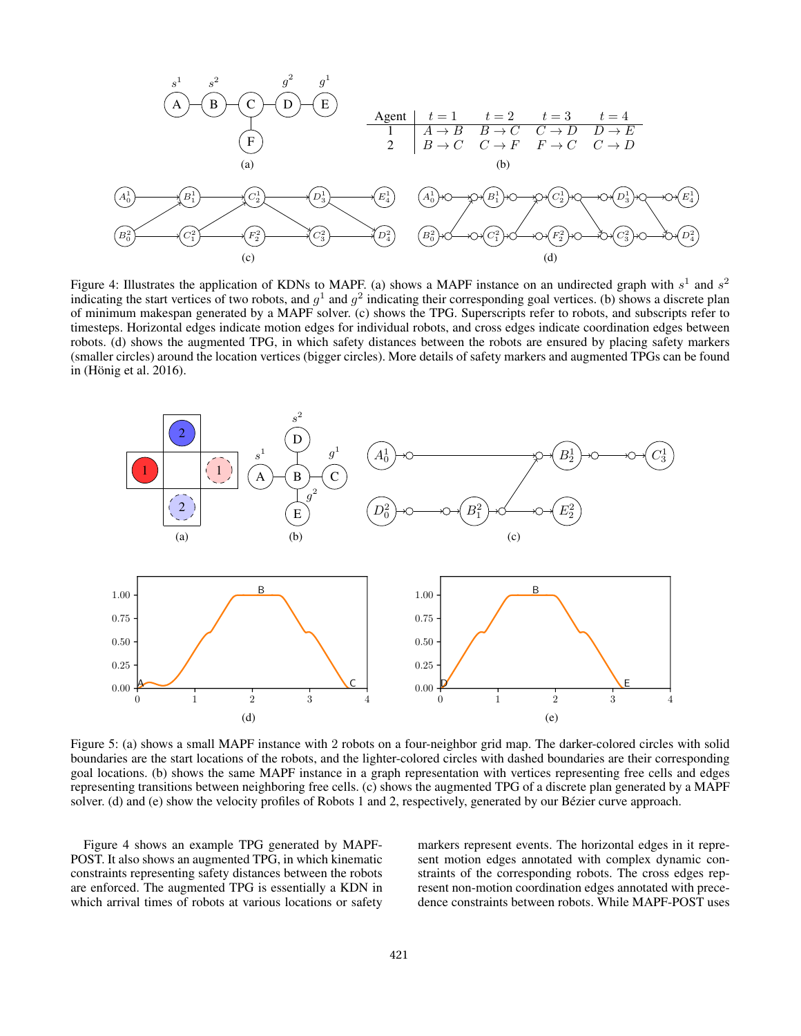

Figure 4: Illustrates the application of KDNs to MAPF. (a) shows a MAPF instance on an undirected graph with  $s^1$  and  $s^2$ indicating the start vertices of two robots, and  $g^1$  and  $g^2$  indicating their corresponding goal vertices. (b) shows a discrete plan of minimum makespan generated by a MAPF solver. (c) shows the TPG. Superscripts refer to robots, and subscripts refer to timesteps. Horizontal edges indicate motion edges for individual robots, and cross edges indicate coordination edges between robots. (d) shows the augmented TPG, in which safety distances between the robots are ensured by placing safety markers (smaller circles) around the location vertices (bigger circles). More details of safety markers and augmented TPGs can be found in (Hönig et al.  $2016$ ).



Figure 5: (a) shows a small MAPF instance with 2 robots on a four-neighbor grid map. The darker-colored circles with solid boundaries are the start locations of the robots, and the lighter-colored circles with dashed boundaries are their corresponding goal locations. (b) shows the same MAPF instance in a graph representation with vertices representing free cells and edges representing transitions between neighboring free cells. (c) shows the augmented TPG of a discrete plan generated by a MAPF solver. (d) and (e) show the velocity profiles of Robots 1 and 2, respectively, generated by our Bézier curve approach.

Figure 4 shows an example TPG generated by MAPF-POST. It also shows an augmented TPG, in which kinematic constraints representing safety distances between the robots are enforced. The augmented TPG is essentially a KDN in which arrival times of robots at various locations or safety

markers represent events. The horizontal edges in it represent motion edges annotated with complex dynamic constraints of the corresponding robots. The cross edges represent non-motion coordination edges annotated with precedence constraints between robots. While MAPF-POST uses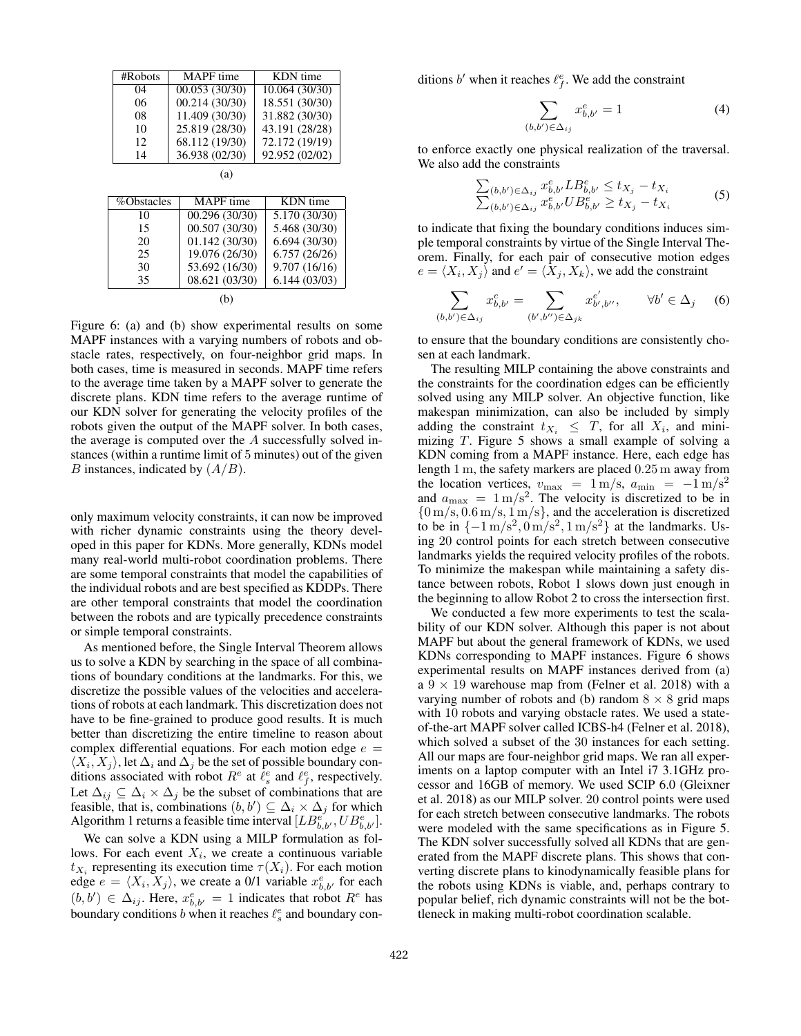| #Robots    | <b>MAPF</b> time | KDN time       |  |  |
|------------|------------------|----------------|--|--|
| 04         | 00.053(30/30)    | 10.064(30/30)  |  |  |
| 06         | 00.214(30/30)    | 18.551 (30/30) |  |  |
| 08         | 11.409 (30/30)   | 31.882 (30/30) |  |  |
| 10         | 25.819 (28/30)   | 43.191 (28/28) |  |  |
| 12         | 68.112 (19/30)   | 72.172 (19/19) |  |  |
| 14         | 36.938 (02/30)   | 92.952 (02/02) |  |  |
| (a)        |                  |                |  |  |
|            |                  |                |  |  |
|            |                  |                |  |  |
| %Obstacles | <b>MAPF</b> time | KDN time       |  |  |
|            |                  |                |  |  |

| , o o o o cao 100 |                |               |
|-------------------|----------------|---------------|
| 10                | 00.296 (30/30) | 5.170 (30/30) |
| 15                | 00.507 (30/30) | 5.468 (30/30) |
| 20                | 01.142(30/30)  | 6.694(30/30)  |
| 25                | 19.076 (26/30) | 6.757(26/26)  |
| 30                | 53.692 (16/30) | 9.707(16/16)  |
| 35                | 08.621 (03/30) | 6.144(03/03)  |
|                   |                |               |

(b)

Figure 6: (a) and (b) show experimental results on some MAPF instances with a varying numbers of robots and obstacle rates, respectively, on four-neighbor grid maps. In both cases, time is measured in seconds. MAPF time refers to the average time taken by a MAPF solver to generate the discrete plans. KDN time refers to the average runtime of our KDN solver for generating the velocity profiles of the robots given the output of the MAPF solver. In both cases, the average is computed over the A successfully solved instances (within a runtime limit of 5 minutes) out of the given B instances, indicated by  $(A/B)$ .

only maximum velocity constraints, it can now be improved with richer dynamic constraints using the theory developed in this paper for KDNs. More generally, KDNs model many real-world multi-robot coordination problems. There are some temporal constraints that model the capabilities of the individual robots and are best specified as KDDPs. There are other temporal constraints that model the coordination between the robots and are typically precedence constraints or simple temporal constraints.

As mentioned before, the Single Interval Theorem allows us to solve a KDN by searching in the space of all combinations of boundary conditions at the landmarks. For this, we discretize the possible values of the velocities and accelerations of robots at each landmark. This discretization does not have to be fine-grained to produce good results. It is much better than discretizing the entire timeline to reason about complex differential equations. For each motion edge  $e =$  $\langle X_i, X_j \rangle$ , let  $\Delta_i$  and  $\Delta_j$  be the set of possible boundary conditions associated with robot  $R^e$  at  $\hat{\ell}_s^e$  and  $\ell_f^e$ , respectively. Let  $\Delta_{ij} \subseteq \Delta_i \times \Delta_j$  be the subset of combinations that are feasible, that is, combinations  $(b, b') \subseteq \Delta_i \times \Delta_j$  for which Algorithm 1 returns a feasible time interval  $[LB_{b,b'}^{\epsilon},UB_{b,b'}^{\epsilon}]$ .

We can solve a KDN using a MILP formulation as follows. For each event  $X_i$ , we create a continuous variable  $t_{X_i}$  representing its execution time  $\tau(X_i)$ . For each motion edge  $e = \langle X_i, X_j \rangle$ , we create a 0/1 variable  $x_{b,b'}^e$  for each  $(b, b') \in \Delta_{ij}$ . Here,  $x_{b,b'}^e = 1$  indicates that robot  $R^e$  has boundary conditions b when it reaches  $\ell_s^e$  and boundary conditions b' when it reaches  $\ell_f^e$ . We add the constraint

$$
\sum_{(b,b')\in\Delta_{ij}} x_{b,b'}^e = 1\tag{4}
$$

to enforce exactly one physical realization of the traversal. We also add the constraints

$$
\sum_{(b,b') \in \Delta_{ij}} x_{b,b'}^e L B_{b,b'}^e \le t_{X_j} - t_{X_i}
$$
\n
$$
\sum_{(b,b') \in \Delta_{ij}} x_{b,b'}^e U B_{b,b'}^e \ge t_{X_j} - t_{X_i}
$$
\n(5)

to indicate that fixing the boundary conditions induces simple temporal constraints by virtue of the Single Interval Theorem. Finally, for each pair of consecutive motion edges  $e = \langle X_i, X_j \rangle$  and  $e' = \langle \tilde{X}_j, X_k \rangle$ , we add the constraint

$$
\sum_{(b,b') \in \Delta_{ij}} x_{b,b'}^e = \sum_{(b',b'') \in \Delta_{jk}} x_{b',b''}^{e'}, \qquad \forall b' \in \Delta_j \quad (6)
$$

to ensure that the boundary conditions are consistently chosen at each landmark.

The resulting MILP containing the above constraints and the constraints for the coordination edges can be efficiently solved using any MILP solver. An objective function, like makespan minimization, can also be included by simply adding the constraint  $t_{X_i} \leq T$ , for all  $X_i$ , and minimizing T. Figure 5 shows a small example of solving a KDN coming from a MAPF instance. Here, each edge has length 1 m, the safety markers are placed 0.25 m away from the location vertices,  $v_{\text{max}} = 1 \text{ m/s}, a_{\text{min}} = -1 \text{ m/s}^2$ and  $a_{\text{max}} = 1 \text{ m/s}^2$ . The velocity is discretized to be in  ${0 m/s, 0.6 m/s, 1 m/s}$ , and the acceleration is discretized to be in  $\{-1 \text{ m/s}^2, 0 \text{ m/s}^2, 1 \text{ m/s}^2\}$  at the landmarks. Using 20 control points for each stretch between consecutive landmarks yields the required velocity profiles of the robots. To minimize the makespan while maintaining a safety distance between robots, Robot 1 slows down just enough in the beginning to allow Robot 2 to cross the intersection first.

We conducted a few more experiments to test the scalability of our KDN solver. Although this paper is not about MAPF but about the general framework of KDNs, we used KDNs corresponding to MAPF instances. Figure 6 shows experimental results on MAPF instances derived from (a) a  $9 \times 19$  warehouse map from (Felner et al. 2018) with a varying number of robots and (b) random  $8 \times 8$  grid maps with 10 robots and varying obstacle rates. We used a stateof-the-art MAPF solver called ICBS-h4 (Felner et al. 2018), which solved a subset of the 30 instances for each setting. All our maps are four-neighbor grid maps. We ran all experiments on a laptop computer with an Intel i7 3.1GHz processor and 16GB of memory. We used SCIP 6.0 (Gleixner et al. 2018) as our MILP solver. 20 control points were used for each stretch between consecutive landmarks. The robots were modeled with the same specifications as in Figure 5. The KDN solver successfully solved all KDNs that are generated from the MAPF discrete plans. This shows that converting discrete plans to kinodynamically feasible plans for the robots using KDNs is viable, and, perhaps contrary to popular belief, rich dynamic constraints will not be the bottleneck in making multi-robot coordination scalable.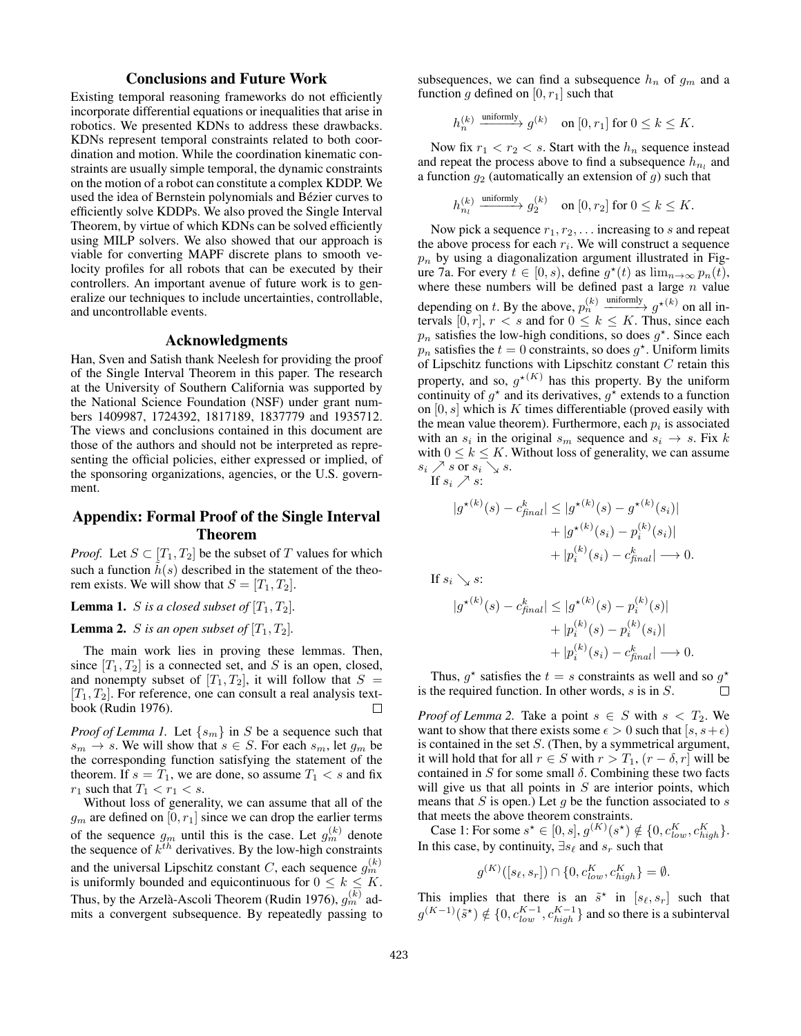## Conclusions and Future Work

Existing temporal reasoning frameworks do not efficiently incorporate differential equations or inequalities that arise in robotics. We presented KDNs to address these drawbacks. KDNs represent temporal constraints related to both coordination and motion. While the coordination kinematic constraints are usually simple temporal, the dynamic constraints on the motion of a robot can constitute a complex KDDP. We used the idea of Bernstein polynomials and Bézier curves to efficiently solve KDDPs. We also proved the Single Interval Theorem, by virtue of which KDNs can be solved efficiently using MILP solvers. We also showed that our approach is viable for converting MAPF discrete plans to smooth velocity profiles for all robots that can be executed by their controllers. An important avenue of future work is to generalize our techniques to include uncertainties, controllable, and uncontrollable events.

## Acknowledgments

Han, Sven and Satish thank Neelesh for providing the proof of the Single Interval Theorem in this paper. The research at the University of Southern California was supported by the National Science Foundation (NSF) under grant numbers 1409987, 1724392, 1817189, 1837779 and 1935712. The views and conclusions contained in this document are those of the authors and should not be interpreted as representing the official policies, either expressed or implied, of the sponsoring organizations, agencies, or the U.S. government.

## Appendix: Formal Proof of the Single Interval Theorem

*Proof.* Let  $S \subset [T_1, T_2]$  be the subset of T values for which such a function  $\hat{h}(s)$  described in the statement of the theorem exists. We will show that  $S = [T_1, T_2]$ .

**Lemma 1.** *S* is a closed subset of  $[T_1, T_2]$ .

**Lemma 2.** *S* is an open subset of  $[T_1, T_2]$ .

The main work lies in proving these lemmas. Then, since  $[T_1, T_2]$  is a connected set, and S is an open, closed, and nonempty subset of  $[T_1, T_2]$ , it will follow that  $S =$  $[T_1, T_2]$ . For reference, one can consult a real analysis textbook (Rudin 1976).  $\Box$ 

*Proof of Lemma 1.* Let  $\{s_m\}$  in S be a sequence such that  $s_m \to s$ . We will show that  $s \in S$ . For each  $s_m$ , let  $g_m$  be the corresponding function satisfying the statement of the theorem. If  $s = T_1$ , we are done, so assume  $T_1 < s$  and fix  $r_1$  such that  $T_1 < r_1 < s$ .

Without loss of generality, we can assume that all of the  $g_m$  are defined on  $[0, r_1]$  since we can drop the earlier terms of the sequence  $g_m$  until this is the case. Let  $g_m^{(k)}$  denote the sequence of  $k^{th}$  derivatives. By the low-high constraints and the universal Lipschitz constant C, each sequence  $g_m^{(k)}$ is uniformly bounded and equicontinuous for  $0 \leq k \leq K$ . Thus, by the Arzelà-Ascoli Theorem (Rudin 1976),  $g_m^{(k)}$  admits a convergent subsequence. By repeatedly passing to

subsequences, we can find a subsequence  $h_n$  of  $g_m$  and a function g defined on  $[0, r_1]$  such that

$$
h_n^{(k)} \xrightarrow{\text{uniformly}} g^{(k)} \quad \text{on} \ [0,r_1] \text{ for } 0 \leq k \leq K.
$$

Now fix  $r_1 < r_2 < s$ . Start with the  $h_n$  sequence instead and repeat the process above to find a subsequence  $h_{n_l}$  and a function  $g_2$  (automatically an extension of  $g$ ) such that

$$
h_{n_l}^{(k)} \xrightarrow{\text{uniformly}} g_2^{(k)} \quad \text{on } [0, r_2] \text{ for } 0 \le k \le K.
$$

Now pick a sequence  $r_1, r_2, \ldots$  increasing to s and repeat the above process for each  $r_i$ . We will construct a sequence  $p_n$  by using a diagonalization argument illustrated in Figure 7a. For every  $t \in [0, s)$ , define  $g^*(t)$  as  $\lim_{n \to \infty} p_n(t)$ , where these numbers will be defined past a large  $n$  value depending on t. By the above,  $p_n^{(k)} \xrightarrow{\text{uniformly}} g^{\star(k)}$  on all intervals [0, r],  $r < s$  and for  $0 \le k \le K$ . Thus, since each  $p_n$  satisfies the low-high conditions, so does  $g^*$ . Since each  $p_n$  satisfies the  $t = 0$  constraints, so does  $g^*$ . Uniform limits of Lipschitz functions with Lipschitz constant C retain this property, and so,  $g^{\star(K)}$  has this property. By the uniform continuity of  $g^*$  and its derivatives,  $g^*$  extends to a function on  $[0, s]$  which is K times differentiable (proved easily with the mean value theorem). Furthermore, each  $p_i$  is associated with an  $s_i$  in the original  $s_m$  sequence and  $s_i \rightarrow s$ . Fix k with  $0 \leq k \leq K$ . Without loss of generality, we can assume  $s_i \nearrow s$  or  $s_i \searrow s$ .

If 
$$
s_i \nearrow s
$$
:

$$
|g^{\star(k)}(s) - c_{final}^k| \le |g^{\star(k)}(s) - g^{\star(k)}(s_i)|
$$
  
+  $|g^{\star(k)}(s_i) - p_i^{(k)}(s_i)|$   
+  $|p_i^{(k)}(s_i) - c_{final}^k| \longrightarrow 0.$ 

If  $s_i \searrow s$ :

$$
|g^{\star(k)}(s) - c_{final}^k| \le |g^{\star(k)}(s) - p_i^{(k)}(s)|
$$
  
+ |p\_i^{(k)}(s) - p\_i^{(k)}(s\_i)|  
+ |p\_i^{(k)}(s\_i) - c\_{final}^k| \longrightarrow 0.

Thus,  $g^*$  satisfies the  $t = s$  constraints as well and so  $g^*$ is the required function. In other words,  $s$  is in  $S$ .  $\Box$ 

*Proof of Lemma 2.* Take a point  $s \in S$  with  $s < T_2$ . We want to show that there exists some  $\epsilon > 0$  such that  $[s, s + \epsilon)$ is contained in the set  $S$ . (Then, by a symmetrical argument, it will hold that for all  $r \in S$  with  $r > T_1$ ,  $(r - \delta, r]$  will be contained in S for some small  $\delta$ . Combining these two facts will give us that all points in  $S$  are interior points, which means that S is open.) Let  $q$  be the function associated to  $s$ that meets the above theorem constraints.

Case 1: For some  $s^* \in [0, s], g^{(K)}(s^*) \notin \{0, c_{low}^K, c_{high}^K\}.$ In this case, by continuity,  $\exists s_\ell$  and  $s_r$  such that

 $g^{(K)}([s_{\ell}, s_r]) \cap \{0, c_{low}^K, c_{high}^K\} = \emptyset.$ 

This implies that there is an  $\tilde{s}^*$  in  $[s_\ell, s_r]$  such that  $g^{(K-1)}(\tilde{s}^*) \notin \{0, c_{low}^{K-1}, c_{high}^{K-1}\}$  and so there is a subinterval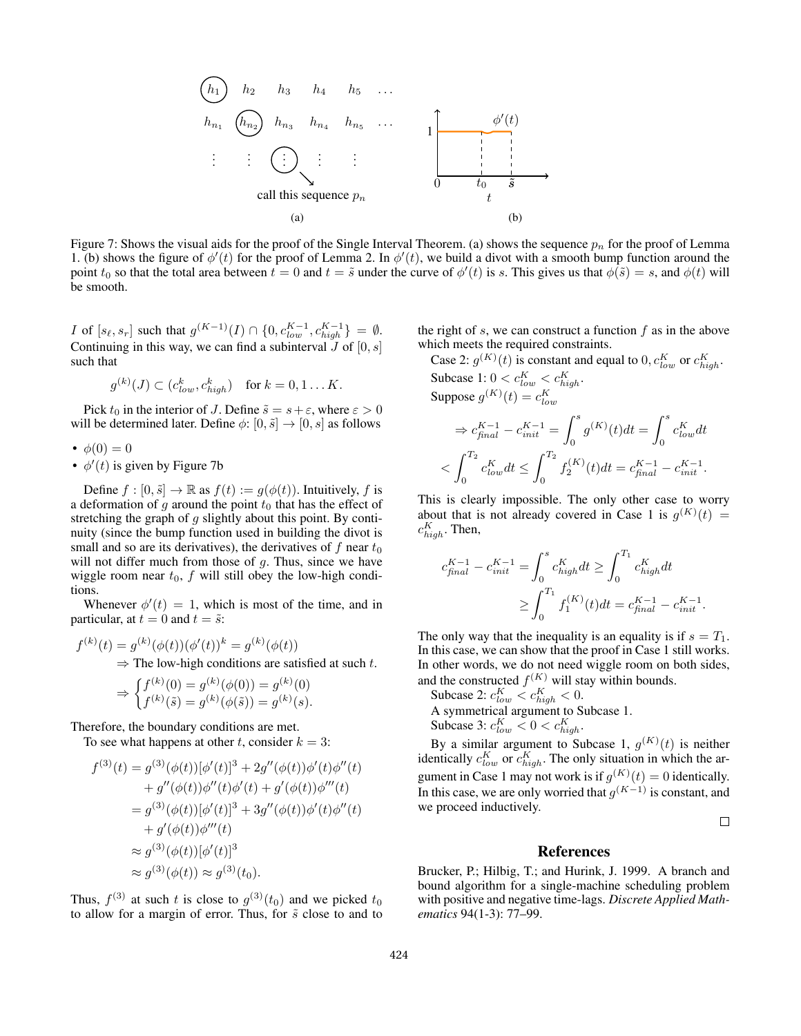

Figure 7: Shows the visual aids for the proof of the Single Interval Theorem. (a) shows the sequence  $p_n$  for the proof of Lemma 1. (b) shows the figure of  $\phi'(t)$  for the proof of Lemma 2. In  $\phi'(t)$ , we build a divot with a smooth bump function around the point  $t_0$  so that the total area between  $t = 0$  and  $t = \tilde{s}$  under the curve of  $\phi'(t)$  is s. This gives us that  $\phi(\tilde{s}) = s$ , and  $\phi(t)$  will be smooth.

*I* of  $[s_{\ell}, s_r]$  such that  $g^{(K-1)}(I) \cap \{0, c_{low}^{K-1}, c_{high}^{K-1}\} = \emptyset$ . Continuing in this way, we can find a subinterval  $J$  of  $[0, s]$ such that

$$
g^{(k)}(J) \subset (c_{low}^k, c_{high}^k) \quad \text{for } k = 0, 1 \dots K.
$$

Pick  $t_0$  in the interior of J. Define  $\tilde{s} = s + \varepsilon$ , where  $\varepsilon > 0$ will be determined later. Define  $\phi: [0, \tilde{s}] \rightarrow [0, s]$  as follows

•  $\phi(0) = 0$ 

•  $\phi'(t)$  is given by Figure 7b

Define  $f : [0, \tilde{s}] \to \mathbb{R}$  as  $f(t) := g(\phi(t))$ . Intuitively, f is a deformation of g around the point  $t_0$  that has the effect of stretching the graph of  $g$  slightly about this point. By continuity (since the bump function used in building the divot is small and so are its derivatives), the derivatives of  $f$  near  $t_0$ will not differ much from those of  $g$ . Thus, since we have wiggle room near  $t_0$ ,  $f$  will still obey the low-high conditions.

Whenever  $\phi'(t) = 1$ , which is most of the time, and in particular, at  $t = 0$  and  $t = \tilde{s}$ :

$$
f^{(k)}(t) = g^{(k)}(\phi(t))(\phi'(t))^k = g^{(k)}(\phi(t))
$$
  
\n
$$
\Rightarrow
$$
The low-high conditions are satisfied at such t.  
\n
$$
\Rightarrow \int_{a(k)}^{b} f^{(k)}(0) = g^{(k)}(\phi(0)) = g^{(k)}(0)
$$

$$
\widetilde{\phantom{a}} \int f^{(k)}(\tilde{s}) = g^{(k)}(\phi(\tilde{s})) = g^{(k)}(s).
$$

Therefore, the boundary conditions are met.

To see what happens at other t, consider  $k = 3$ :

$$
f^{(3)}(t) = g^{(3)}(\phi(t))[\phi'(t)]^3 + 2g''(\phi(t))\phi'(t)\phi''(t) + g''(\phi(t))\phi''(t)\phi'(t) + g'(\phi(t))\phi'''(t) = g^{(3)}(\phi(t))[\phi'(t)]^3 + 3g''(\phi(t))\phi'(t)\phi''(t) + g'(\phi(t))\phi'''(t) \approx g^{(3)}(\phi(t))[\phi'(t)]^3 \approx g^{(3)}(\phi(t)) \approx g^{(3)}(t_0).
$$

Thus,  $f^{(3)}$  at such t is close to  $g^{(3)}(t_0)$  and we picked  $t_0$ to allow for a margin of error. Thus, for  $\tilde{s}$  close to and to the right of  $s$ , we can construct a function  $f$  as in the above which meets the required constraints.

Case 2:  $g^{(K)}(t)$  is constant and equal to  $0, c_{low}^K$  or  $c_{high}^K$ . Subcase 1:  $0 < c_{low}^K < c_{high}^K$ . Suppose  $g^{(K)}(t) = c_{low}^K$ 

$$
\Rightarrow c_{final}^{K-1} - c_{init}^{K-1} = \int_0^s g^{(K)}(t)dt = \int_0^s c_{low}^K dt
$$
  

$$
< \int_0^{T_2} c_{low}^K dt \le \int_0^{T_2} f_2^{(K)}(t)dt = c_{final}^{K-1} - c_{init}^{K-1}.
$$

This is clearly impossible. The only other case to worry about that is not already covered in Case 1 is  $g^{(K)}(t) =$  $c_{high}^K$ . Then,

$$
c_{final}^{K-1} - c_{init}^{K-1} = \int_0^s c_{high}^K dt \ge \int_0^{T_1} c_{high}^K dt
$$
  

$$
\ge \int_0^{T_1} f_1^{(K)}(t) dt = c_{final}^{K-1} - c_{init}^{K-1}.
$$

The only way that the inequality is an equality is if  $s = T_1$ . In this case, we can show that the proof in Case 1 still works. In other words, we do not need wiggle room on both sides, and the constructed  $f^{(K)}$  will stay within bounds.

Subcase 2:  $c_{low}^K < c_{high}^K < 0$ . A symmetrical argument to Subcase 1. Subcase 3:  $c_{low}^K < 0 < c_{high}^K$ .

By a similar argument to Subcase 1,  $g^{(K)}(t)$  is neither identically  $c_{low}^K$  or  $c_{high}^K$ . The only situation in which the argument in Case 1 may not work is if  $g^{(K)}(t) = 0$  identically. In this case, we are only worried that  $g^{(K-1)}$  is constant, and we proceed inductively.

 $\Box$ 

## References

Brucker, P.; Hilbig, T.; and Hurink, J. 1999. A branch and bound algorithm for a single-machine scheduling problem with positive and negative time-lags. *Discrete Applied Mathematics* 94(1-3): 77–99.